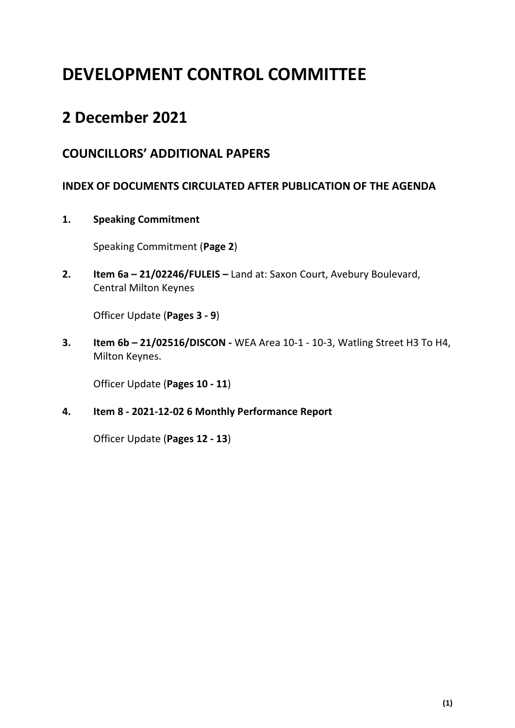# **DEVELOPMENT CONTROL COMMITTEE**

## **2 December 2021**

## **COUNCILLORS' ADDITIONAL PAPERS**

### **INDEX OF DOCUMENTS CIRCULATED AFTER PUBLICATION OF THE AGENDA**

**1. Speaking Commitment**

Speaking Commitment (**Page 2**)

**2. Item 6a – 21/02246/FULEIS –** Land at: Saxon Court, Avebury Boulevard, Central Milton Keynes

Officer Update (**Pages 3 - 9**)

**3. Item 6b – 21/02516/DISCON -** WEA Area 10-1 - 10-3, Watling Street H3 To H4, Milton Keynes.

Officer Update (**Pages 10 - 11**)

**4. Item 8 - 2021-12-02 6 Monthly Performance Report** 

Officer Update (**Pages 12 - 13**)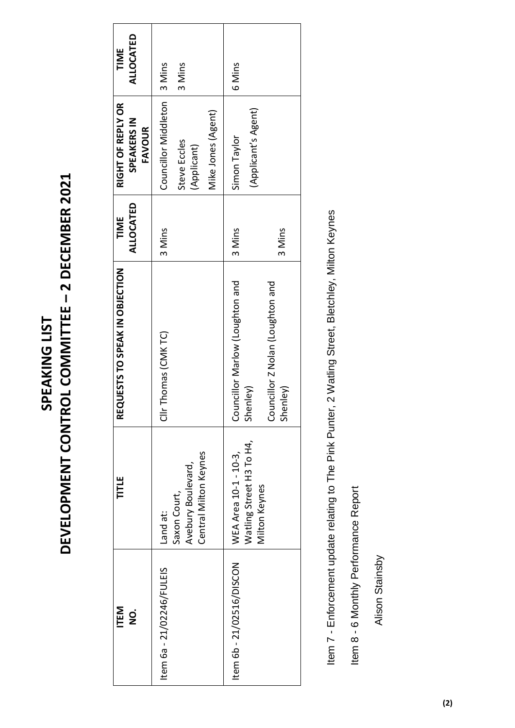# **DEVELOPMENT CONTROL COMMITTEE – 2 DECEMBER 2021**  DEVELOPMENT CONTROL COMMITTEE - 2 DECEMBER 2021 SPEAKING LIST **SPEAKING LIST**

| <b>ITEM</b><br>o<br>2     | TITLE                                                       | REQUESTS TO SPEAK IN OBJECTION               | ALLOCATED<br>TIME | RIGHT OF REPLY OR<br>SPEAKERS IN<br><b>FAVOUR</b> | ALLOCATED<br>TIME |
|---------------------------|-------------------------------------------------------------|----------------------------------------------|-------------------|---------------------------------------------------|-------------------|
| Item 6a - 21/02246/FULEIS | Land at:                                                    | Clir Thomas (CMKTC)                          | 3 Mins            | Councillor Middleton   3 Mins                     |                   |
|                           | Central Milton Keynes<br>Avebury Boulevard,<br>Saxon Court, |                                              |                   | Steve Eccles<br>(Applicant)                       | 3 Mins            |
|                           |                                                             |                                              |                   | Mike Jones (Agent)                                |                   |
| Item 6b - 21/02516/DISCON | Watling Street H3 To H4,<br>WEA Area 10-1 - 10-3,           | Councillor Marlow (Loughton and<br>Shenley)  | 3 Mins            | (Applicant's Agent)<br>Simon Taylor               | 6 Mins            |
|                           | Milton Keynes                                               | Councillor Z Nolan (Loughton and<br>Shenley) | 3 Mins            |                                                   |                   |

Item 7 - Enforcement update relating to The Pink Punter, 2 Watling Street, Bletchley, Milton Keynes Item 7 - Enforcement update relating to The Pink Punter, 2 Watling Street, Bletchley, Milton Keynes

Item 8 - 6 Monthly Performance Report Item 8 - 6 Monthly Performance Report

Alison Stainsby Alison Stainsby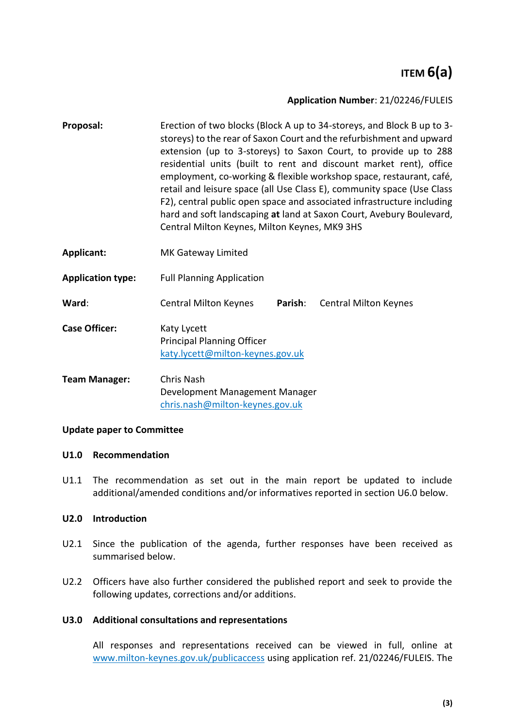## **ITEM 6(a)**

#### **Application Number**: 21/02246/FULEIS

- **Proposal:** Erection of two blocks (Block A up to 34-storeys, and Block B up to 3 storeys) to the rear of Saxon Court and the refurbishment and upward extension (up to 3-storeys) to Saxon Court, to provide up to 288 residential units (built to rent and discount market rent), office employment, co-working & flexible workshop space, restaurant, café, retail and leisure space (all Use Class E), community space (Use Class F2), central public open space and associated infrastructure including hard and soft landscaping **at** land at Saxon Court, Avebury Boulevard, Central Milton Keynes, Milton Keynes, MK9 3HS
- **Applicant:** MK Gateway Limited
- **Application type:** Full Planning Application
- **Ward**: Central Milton Keynes **Parish**: Central Milton Keynes
- **Case Officer:** Katy Lycett Principal Planning Officer [katy.lycett@milton-keynes.gov.uk](mailto:katy.lycett@milton-keynes.gov.uk)
- **Team Manager:** Chris Nash Development Management Manager [chris.nash@milton-keynes.gov.uk](mailto:chris.nash@milton-keynes.gov.uk)

#### **Update paper to Committee**

#### **U1.0 Recommendation**

U1.1 The recommendation as set out in the main report be updated to include additional/amended conditions and/or informatives reported in section [U6.0](#page-7-0) below.

#### **U2.0 Introduction**

- U2.1 Since the publication of the agenda, further responses have been received as summarised below.
- U2.2 Officers have also further considered the published report and seek to provide the following updates, corrections and/or additions.

#### **U3.0 Additional consultations and representations**

All responses and representations received can be viewed in full, online at [www.milton-keynes.gov.uk/publicaccess](http://www.milton-keynes.gov.uk/publicaccess) using application ref. 21/02246/FULEIS. The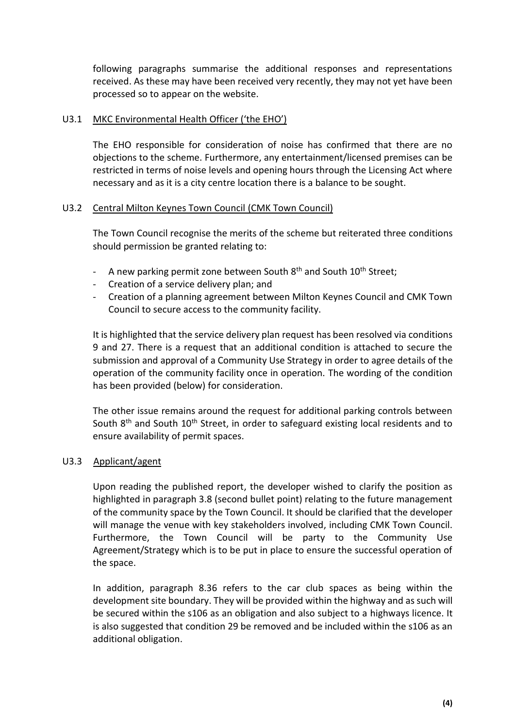following paragraphs summarise the additional responses and representations received. As these may have been received very recently, they may not yet have been processed so to appear on the website.

#### U3.1 MKC Environmental Health Officer ('the EHO')

The EHO responsible for consideration of noise has confirmed that there are no objections to the scheme. Furthermore, any entertainment/licensed premises can be restricted in terms of noise levels and opening hours through the Licensing Act where necessary and as it is a city centre location there is a balance to be sought.

#### U3.2 Central Milton Keynes Town Council (CMK Town Council)

The Town Council recognise the merits of the scheme but reiterated three conditions should permission be granted relating to:

- A new parking permit zone between South  $8<sup>th</sup>$  and South  $10<sup>th</sup>$  Street;
- Creation of a service delivery plan; and
- Creation of a planning agreement between Milton Keynes Council and CMK Town Council to secure access to the community facility.

It is highlighted that the service delivery plan request has been resolved via conditions 9 and 27. There is a request that an additional condition is attached to secure the submission and approval of a Community Use Strategy in order to agree details of the operation of the community facility once in operation. The wording of the condition has been provided (below) for consideration.

The other issue remains around the request for additional parking controls between South 8<sup>th</sup> and South 10<sup>th</sup> Street, in order to safeguard existing local residents and to ensure availability of permit spaces.

#### U3.3 Applicant/agent

Upon reading the published report, the developer wished to clarify the position as highlighted in paragraph 3.8 (second bullet point) relating to the future management of the community space by the Town Council. It should be clarified that the developer will manage the venue with key stakeholders involved, including CMK Town Council. Furthermore, the Town Council will be party to the Community Use Agreement/Strategy which is to be put in place to ensure the successful operation of the space.

In addition, paragraph 8.36 refers to the car club spaces as being within the development site boundary. They will be provided within the highway and as such will be secured within the s106 as an obligation and also subject to a highways licence. It is also suggested that condition 29 be removed and be included within the s106 as an additional obligation.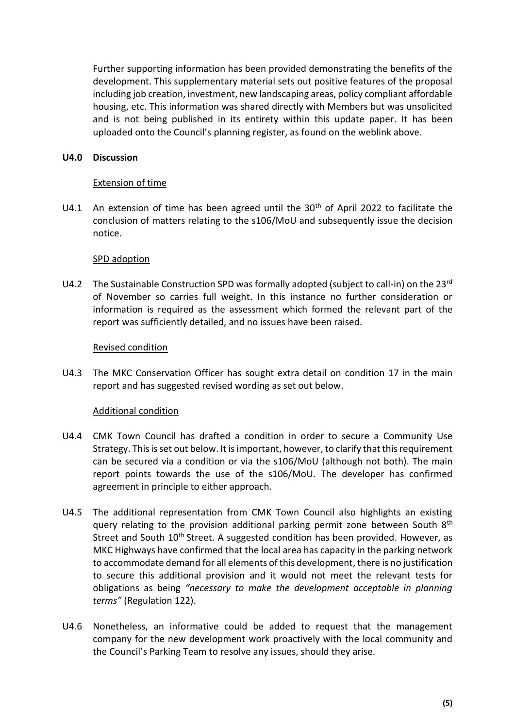Further supporting information has been provided demonstrating the benefits of the development. This supplementary material sets out positive features of the proposal including job creation, investment, new landscaping areas, policy compliant affordable housing, etc. This information was shared directly with Members but was unsolicited and is not being published in its entirety within this update paper. It has been uploaded onto the Council's planning register, as found on the weblink above.

#### **U4.0 Discussion**

#### Extension of time

U4.1 An extension of time has been agreed until the  $30<sup>th</sup>$  of April 2022 to facilitate the conclusion of matters relating to the s106/MoU and subsequently issue the decision notice.

#### SPD adoption

U4.2 The Sustainable Construction SPD was formally adopted (subject to call-in) on the 23<sup>rd</sup> of November so carries full weight. In this instance no further consideration or information is required as the assessment which formed the relevant part of the report was sufficiently detailed, and no issues have been raised.

#### Revised condition

U4.3 The MKC Conservation Officer has sought extra detail on condition 17 in the main report and has suggested revised wording as set out below.

#### Additional condition

- U4.4 CMK Town Council has drafted a condition in order to secure a Community Use Strategy. This is set out below. It is important, however, to clarify that this requirement can be secured via a condition or via the s106/MoU (although not both). The main report points towards the use of the s106/MoU. The developer has confirmed agreement in principle to either approach.
- U4.5 The additional representation from CMK Town Council also highlights an existing query relating to the provision additional parking permit zone between South  $8<sup>th</sup>$ Street and South 10<sup>th</sup> Street. A suggested condition has been provided. However, as MKC Highways have confirmed that the local area has capacity in the parking network to accommodate demand for all elements of this development, there is no justification to secure this additional provision and it would not meet the relevant tests for obligations as being *"necessary to make the development acceptable in planning terms"* (Regulation 122).
- U4.6 Nonetheless, an informative could be added to request that the management company for the new development work proactively with the local community and the Council's Parking Team to resolve any issues, should they arise.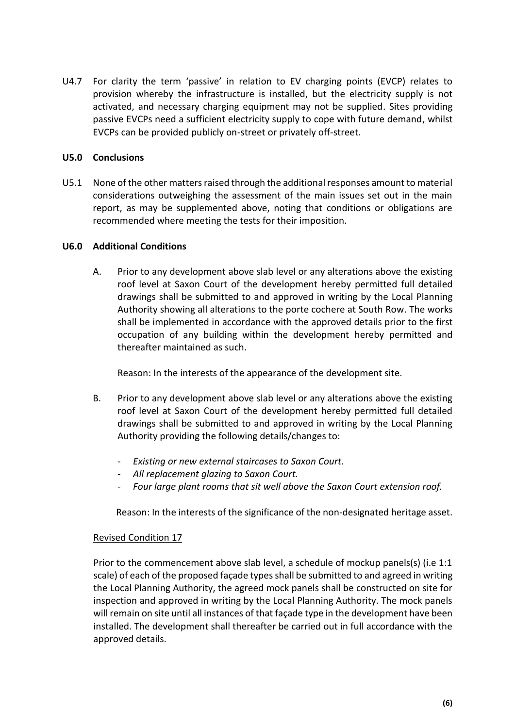U4.7 For clarity the term 'passive' in relation to EV charging points (EVCP) relates to provision whereby the infrastructure is installed, but the electricity supply is not activated, and necessary charging equipment may not be supplied. Sites providing passive EVCPs need a sufficient electricity supply to cope with future demand, whilst EVCPs can be provided publicly on-street or privately off-street.

#### **U5.0 Conclusions**

U5.1 None of the other matters raised through the additional responses amount to material considerations outweighing the assessment of the main issues set out in the main report, as may be supplemented above, noting that conditions or obligations are recommended where meeting the tests for their imposition.

#### <span id="page-7-0"></span>**U6.0 Additional Conditions**

A. Prior to any development above slab level or any alterations above the existing roof level at Saxon Court of the development hereby permitted full detailed drawings shall be submitted to and approved in writing by the Local Planning Authority showing all alterations to the porte cochere at South Row. The works shall be implemented in accordance with the approved details prior to the first occupation of any building within the development hereby permitted and thereafter maintained as such.

Reason: In the interests of the appearance of the development site.

- B. Prior to any development above slab level or any alterations above the existing roof level at Saxon Court of the development hereby permitted full detailed drawings shall be submitted to and approved in writing by the Local Planning Authority providing the following details/changes to:
	- *Existing or new external staircases to Saxon Court.*
	- *All replacement glazing to Saxon Court.*
	- *Four large plant rooms that sit well above the Saxon Court extension roof.*

Reason: In the interests of the significance of the non-designated heritage asset.

#### Revised Condition 17

Prior to the commencement above slab level, a schedule of mockup panels(s) (i.e 1:1 scale) of each of the proposed façade types shall be submitted to and agreed in writing the Local Planning Authority, the agreed mock panels shall be constructed on site for inspection and approved in writing by the Local Planning Authority. The mock panels will remain on site until all instances of that façade type in the development have been installed. The development shall thereafter be carried out in full accordance with the approved details.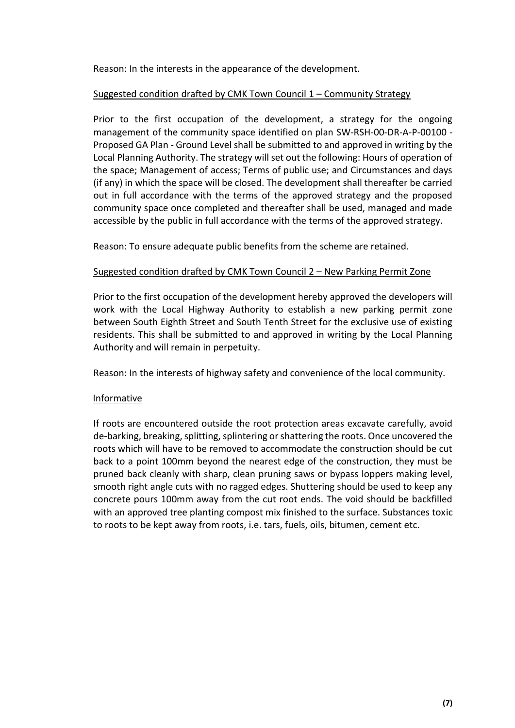Reason: In the interests in the appearance of the development.

#### Suggested condition drafted by CMK Town Council 1 – Community Strategy

Prior to the first occupation of the development, a strategy for the ongoing management of the community space identified on plan SW-RSH-00-DR-A-P-00100 - Proposed GA Plan - Ground Level shall be submitted to and approved in writing by the Local Planning Authority. The strategy will set out the following: Hours of operation of the space; Management of access; Terms of public use; and Circumstances and days (if any) in which the space will be closed. The development shall thereafter be carried out in full accordance with the terms of the approved strategy and the proposed community space once completed and thereafter shall be used, managed and made accessible by the public in full accordance with the terms of the approved strategy.

Reason: To ensure adequate public benefits from the scheme are retained.

#### Suggested condition drafted by CMK Town Council 2 – New Parking Permit Zone

Prior to the first occupation of the development hereby approved the developers will work with the Local Highway Authority to establish a new parking permit zone between South Eighth Street and South Tenth Street for the exclusive use of existing residents. This shall be submitted to and approved in writing by the Local Planning Authority and will remain in perpetuity.

Reason: In the interests of highway safety and convenience of the local community.

#### Informative

If roots are encountered outside the root protection areas excavate carefully, avoid de-barking, breaking, splitting, splintering or shattering the roots. Once uncovered the roots which will have to be removed to accommodate the construction should be cut back to a point 100mm beyond the nearest edge of the construction, they must be pruned back cleanly with sharp, clean pruning saws or bypass loppers making level, smooth right angle cuts with no ragged edges. Shuttering should be used to keep any concrete pours 100mm away from the cut root ends. The void should be backfilled with an approved tree planting compost mix finished to the surface. Substances toxic to roots to be kept away from roots, i.e. tars, fuels, oils, bitumen, cement etc.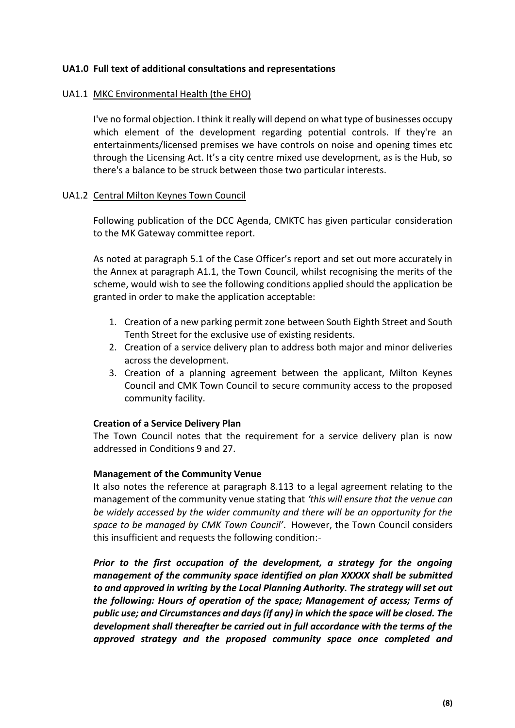#### **UA1.0 Full text of additional consultations and representations**

#### UA1.1 MKC Environmental Health (the EHO)

I've no formal objection. I think it really will depend on what type of businesses occupy which element of the development regarding potential controls. If they're an entertainments/licensed premises we have controls on noise and opening times etc through the Licensing Act. It's a city centre mixed use development, as is the Hub, so there's a balance to be struck between those two particular interests.

#### UA1.2 Central Milton Keynes Town Council

Following publication of the DCC Agenda, CMKTC has given particular consideration to the MK Gateway committee report.

As noted at paragraph 5.1 of the Case Officer's report and set out more accurately in the Annex at paragraph A1.1, the Town Council, whilst recognising the merits of the scheme, would wish to see the following conditions applied should the application be granted in order to make the application acceptable:

- 1. Creation of a new parking permit zone between South Eighth Street and South Tenth Street for the exclusive use of existing residents.
- 2. Creation of a service delivery plan to address both major and minor deliveries across the development.
- 3. Creation of a planning agreement between the applicant, Milton Keynes Council and CMK Town Council to secure community access to the proposed community facility.

#### **Creation of a Service Delivery Plan**

The Town Council notes that the requirement for a service delivery plan is now addressed in Conditions 9 and 27.

#### **Management of the Community Venue**

It also notes the reference at paragraph 8.113 to a legal agreement relating to the management of the community venue stating that *'this will ensure that the venue can be widely accessed by the wider community and there will be an opportunity for the space to be managed by CMK Town Council'*. However, the Town Council considers this insufficient and requests the following condition:-

*Prior to the first occupation of the development, a strategy for the ongoing management of the community space identified on plan XXXXX shall be submitted to and approved in writing by the Local Planning Authority. The strategy will set out the following: Hours of operation of the space; Management of access; Terms of public use; and Circumstances and days (if any) in which the space will be closed. The development shall thereafter be carried out in full accordance with the terms of the approved strategy and the proposed community space once completed and*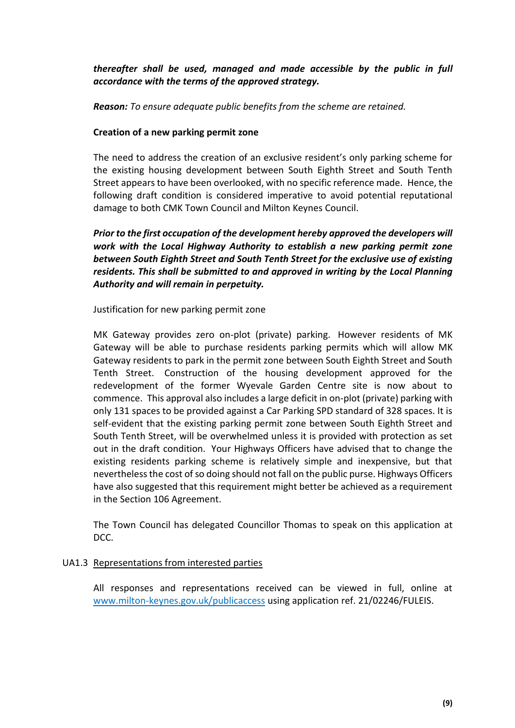*thereafter shall be used, managed and made accessible by the public in full accordance with the terms of the approved strategy.*

*Reason: To ensure adequate public benefits from the scheme are retained.*

#### **Creation of a new parking permit zone**

The need to address the creation of an exclusive resident's only parking scheme for the existing housing development between South Eighth Street and South Tenth Street appears to have been overlooked, with no specific reference made. Hence, the following draft condition is considered imperative to avoid potential reputational damage to both CMK Town Council and Milton Keynes Council.

*Prior to the first occupation of the development hereby approved the developers will work with the Local Highway Authority to establish a new parking permit zone between South Eighth Street and South Tenth Street for the exclusive use of existing residents. This shall be submitted to and approved in writing by the Local Planning Authority and will remain in perpetuity.*

Justification for new parking permit zone

MK Gateway provides zero on-plot (private) parking. However residents of MK Gateway will be able to purchase residents parking permits which will allow MK Gateway residents to park in the permit zone between South Eighth Street and South Tenth Street. Construction of the housing development approved for the redevelopment of the former Wyevale Garden Centre site is now about to commence. This approval also includes a large deficit in on-plot (private) parking with only 131 spaces to be provided against a Car Parking SPD standard of 328 spaces. It is self-evident that the existing parking permit zone between South Eighth Street and South Tenth Street, will be overwhelmed unless it is provided with protection as set out in the draft condition. Your Highways Officers have advised that to change the existing residents parking scheme is relatively simple and inexpensive, but that nevertheless the cost of so doing should not fall on the public purse. Highways Officers have also suggested that this requirement might better be achieved as a requirement in the Section 106 Agreement.

The Town Council has delegated Councillor Thomas to speak on this application at DCC.

#### UA1.3 Representations from interested parties

All responses and representations received can be viewed in full, online at [www.milton-keynes.gov.uk/publicaccess](http://www.milton-keynes.gov.uk/publicaccess) using application ref. 21/02246/FULEIS.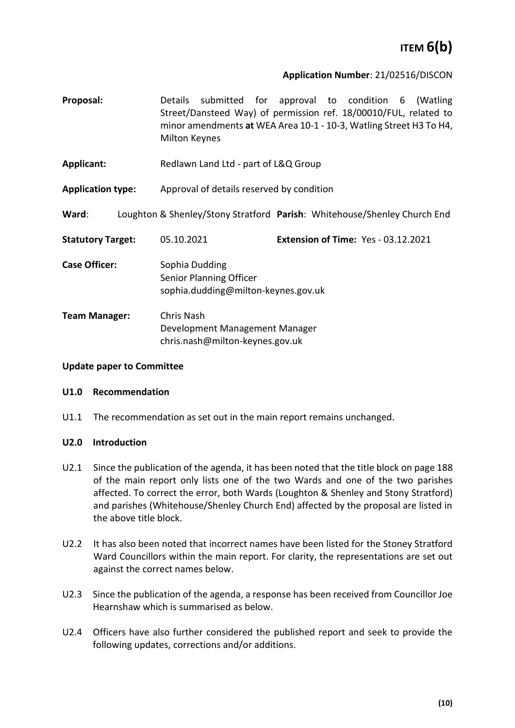## **ITEM 6(b)**

#### **Application Number**: 21/02516/DISCON

- **Proposal:** Details submitted for approval to condition 6 (Watling Street/Dansteed Way) of permission ref. 18/00010/FUL, related to minor amendments **at** WEA Area 10-1 - 10-3, Watling Street H3 To H4, Milton Keynes
- **Applicant:** Redlawn Land Ltd part of L&Q Group

**Application type:** Approval of details reserved by condition

**Ward**: Loughton & Shenley/Stony Stratford **Parish**: Whitehouse/Shenley Church End

| <b>Statutory Target:</b> | 05.10.2021 | Extension of Time: Yes - 03.12.2021 |
|--------------------------|------------|-------------------------------------|
|                          |            |                                     |

**Case Officer:** Sophia Dudding Senior Planning Officer sophia.dudding@milton-keynes.gov.uk

**Team Manager:** Chris Nash Development Management Manager chris.nash@milton-keynes.gov.uk

#### **Update paper to Committee**

#### **U1.0 Recommendation**

U1.1 The recommendation as set out in the main report remains unchanged.

#### **U2.0 Introduction**

- U2.1 Since the publication of the agenda, it has been noted that the title block on page 188 of the main report only lists one of the two Wards and one of the two parishes affected. To correct the error, both Wards (Loughton & Shenley and Stony Stratford) and parishes (Whitehouse/Shenley Church End) affected by the proposal are listed in the above title block.
- U2.2 It has also been noted that incorrect names have been listed for the Stoney Stratford Ward Councillors within the main report. For clarity, the representations are set out against the correct names below.
- U2.3 Since the publication of the agenda, a response has been received from Councillor Joe Hearnshaw which is summarised as below.
- U2.4 Officers have also further considered the published report and seek to provide the following updates, corrections and/or additions.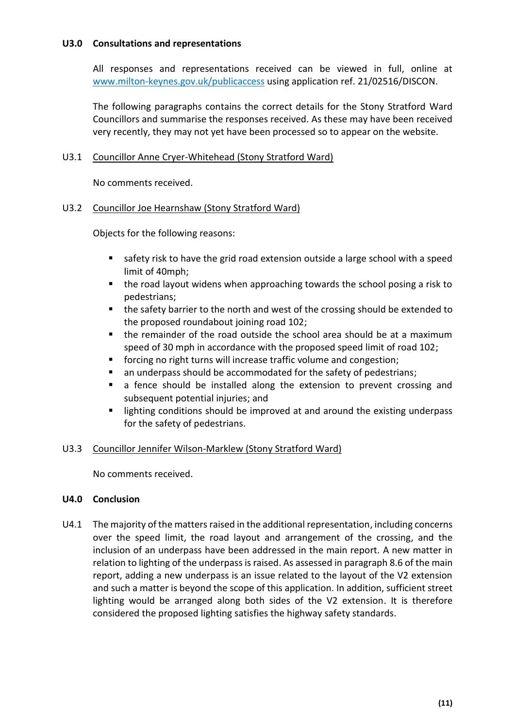#### **U3.0 Consultations and representations**

All responses and representations received can be viewed in full, online at [www.milton-keynes.gov.uk/publicaccess](http://www.milton-keynes.gov.uk/publicaccess) using application ref. 21/02516/DISCON.

The following paragraphs contains the correct details for the Stony Stratford Ward Councillors and summarise the responses received. As these may have been received very recently, they may not yet have been processed so to appear on the website.

#### U3.1 Councillor Anne Cryer-Whitehead (Stony Stratford Ward)

No comments received.

#### U3.2 Councillor Joe Hearnshaw (Stony Stratford Ward)

Objects for the following reasons:

- safety risk to have the grid road extension outside a large school with a speed limit of 40mph;
- the road layout widens when approaching towards the school posing a risk to pedestrians;
- the safety barrier to the north and west of the crossing should be extended to the proposed roundabout joining road 102;
- the remainder of the road outside the school area should be at a maximum speed of 30 mph in accordance with the proposed speed limit of road 102;
- forcing no right turns will increase traffic volume and congestion;
- an underpass should be accommodated for the safety of pedestrians;
- a fence should be installed along the extension to prevent crossing and subsequent potential injuries; and
- lighting conditions should be improved at and around the existing underpass for the safety of pedestrians.

#### U3.3 Councillor Jennifer Wilson-Marklew (Stony Stratford Ward)

No comments received.

#### **U4.0 Conclusion**

U4.1 The majority of the matters raised in the additional representation, including concerns over the speed limit, the road layout and arrangement of the crossing, and the inclusion of an underpass have been addressed in the main report. A new matter in relation to lighting of the underpassis raised. As assessed in paragraph 8.6 of the main report, adding a new underpass is an issue related to the layout of the V2 extension and such a matter is beyond the scope of this application. In addition, sufficient street lighting would be arranged along both sides of the V2 extension. It is therefore considered the proposed lighting satisfies the highway safety standards.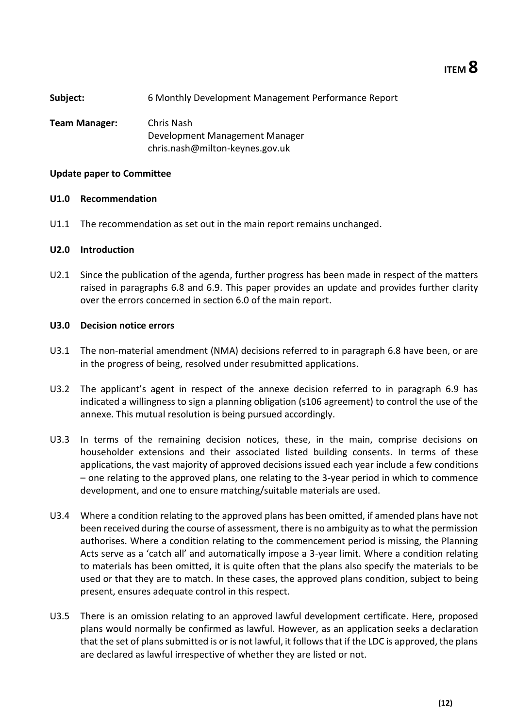**ITEM 8**

| Subject:      | 6 Monthly Development Management Performance Report |
|---------------|-----------------------------------------------------|
| Team Manager: | Chris Nash                                          |
|               | Development Management Manager                      |
|               | chris.nash@milton-keynes.gov.uk                     |

#### **Update paper to Committee**

#### **U1.0 Recommendation**

U1.1 The recommendation as set out in the main report remains unchanged.

#### **U2.0 Introduction**

U2.1 Since the publication of the agenda, further progress has been made in respect of the matters raised in paragraphs 6.8 and 6.9. This paper provides an update and provides further clarity over the errors concerned in section 6.0 of the main report.

#### **U3.0 Decision notice errors**

- U3.1 The non-material amendment (NMA) decisions referred to in paragraph 6.8 have been, or are in the progress of being, resolved under resubmitted applications.
- U3.2 The applicant's agent in respect of the annexe decision referred to in paragraph 6.9 has indicated a willingness to sign a planning obligation (s106 agreement) to control the use of the annexe. This mutual resolution is being pursued accordingly.
- U3.3 In terms of the remaining decision notices, these, in the main, comprise decisions on householder extensions and their associated listed building consents. In terms of these applications, the vast majority of approved decisions issued each year include a few conditions – one relating to the approved plans, one relating to the 3-year period in which to commence development, and one to ensure matching/suitable materials are used.
- U3.4 Where a condition relating to the approved plans has been omitted, if amended plans have not been received during the course of assessment, there is no ambiguity as to what the permission authorises. Where a condition relating to the commencement period is missing, the Planning Acts serve as a 'catch all' and automatically impose a 3-year limit. Where a condition relating to materials has been omitted, it is quite often that the plans also specify the materials to be used or that they are to match. In these cases, the approved plans condition, subject to being present, ensures adequate control in this respect.
- U3.5 There is an omission relating to an approved lawful development certificate. Here, proposed plans would normally be confirmed as lawful. However, as an application seeks a declaration that the set of plans submitted is or is not lawful, it follows that if the LDC is approved, the plans are declared as lawful irrespective of whether they are listed or not.